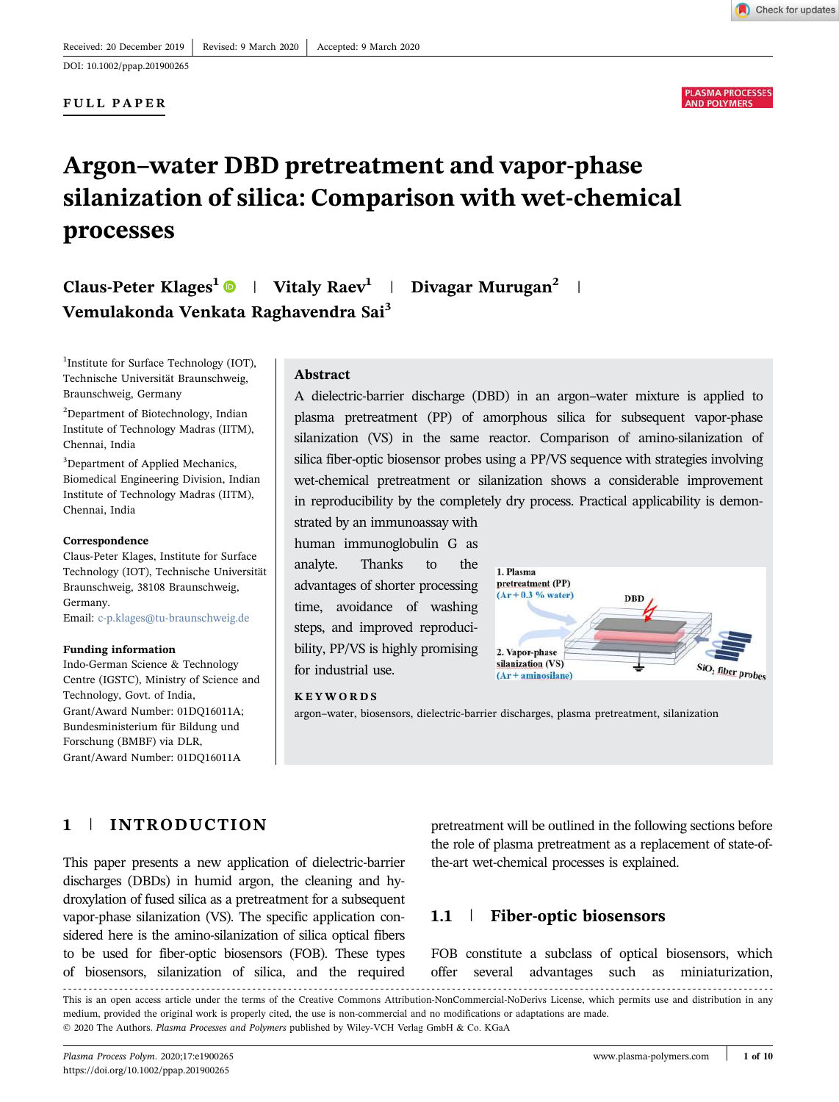DOI: 10.1002/ppap.201900265

### FULL PAPER



Check for updates

# Argon–water DBD pretreatment and vapor‐phase silanization of silica: Comparison with wet‐chemical processes

Claus-Peter Klages<sup>1</sup>  $\bullet$  | Vitaly Raev<sup>1</sup> | Divagar Murugan<sup>2</sup> | Vemulakonda Venkata Raghavendra Sai<sup>3</sup>

<sup>1</sup>Institute for Surface Technology (IOT), Technische Universität Braunschweig, Braunschweig, Germany

<sup>2</sup>Department of Biotechnology, Indian Institute of Technology Madras (IITM), Chennai, India

<sup>3</sup>Department of Applied Mechanics, Biomedical Engineering Division, Indian Institute of Technology Madras (IITM), Chennai, India

#### Correspondence

Claus‐Peter Klages, Institute for Surface Technology (IOT), Technische Universität Braunschweig, 38108 Braunschweig, Germany. Email: c-p.klages@tu-braunschweig.de

#### Funding information

Indo‐German Science & Technology Centre (IGSTC), Ministry of Science and Technology, Govt. of India, Grant/Award Number: 01DQ16011A; Bundesministerium für Bildung und Forschung (BMBF) via DLR, Grant/Award Number: 01DQ16011A

### Abstract

A dielectric‐barrier discharge (DBD) in an argon–water mixture is applied to plasma pretreatment (PP) of amorphous silica for subsequent vapor‐phase silanization (VS) in the same reactor. Comparison of amino-silanization of silica fiber-optic biosensor probes using a PP/VS sequence with strategies involving wet-chemical pretreatment or silanization shows a considerable improvement in reproducibility by the completely dry process. Practical applicability is demonstrated by an immunoassay with

human immunoglobulin G as analyte. Thanks to the advantages of shorter processing time, avoidance of washing steps, and improved reproducibility, PP/VS is highly promising for industrial use.



#### KEYWORDS

argon–water, biosensors, dielectric‐barrier discharges, plasma pretreatment, silanization

# 1 | INTRODUCTION

This paper presents a new application of dielectric‐barrier discharges (DBDs) in humid argon, the cleaning and hydroxylation of fused silica as a pretreatment for a subsequent vapor-phase silanization (VS). The specific application considered here is the amino‐silanization of silica optical fibers to be used for fiber‐optic biosensors (FOB). These types of biosensors, silanization of silica, and the required

pretreatment will be outlined in the following sections before the role of plasma pretreatment as a replacement of state-ofthe‐art wet‐chemical processes is explained.

### 1.1 | Fiber-optic biosensors

FOB constitute a subclass of optical biosensors, which offer several advantages such as miniaturization,

This is an open access article under the terms of the Creative Commons Attribution-NonCommercial-NoDerivs License, which permits use and distribution in any medium, provided the original work is properly cited, the use is non‐commercial and no modifications or adaptations are made. © 2020 The Authors. Plasma Processes and Polymers published by Wiley-VCH Verlag GmbH & Co. KGaA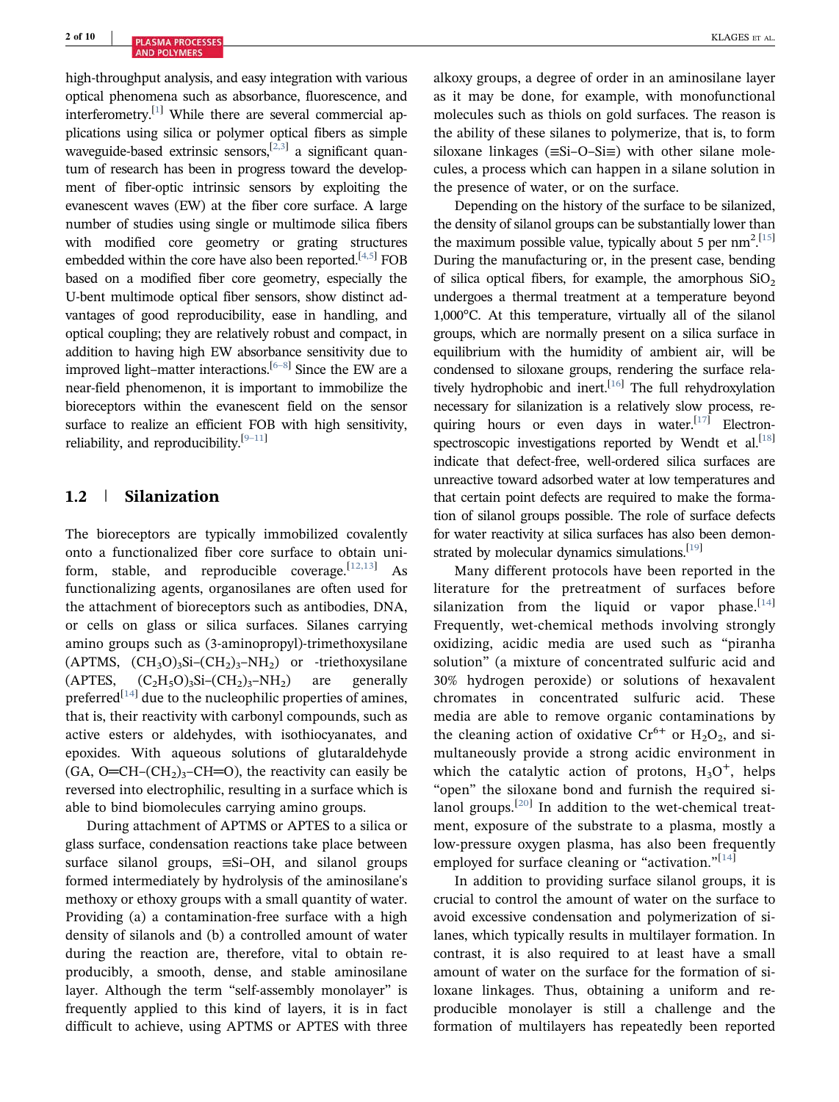high-throughput analysis, and easy integration with various optical phenomena such as absorbance, fluorescence, and interferometry.<sup>[1]</sup> While there are several commercial applications using silica or polymer optical fibers as simple waveguide-based extrinsic sensors, [2,3] a significant quantum of research has been in progress toward the development of fiber-optic intrinsic sensors by exploiting the evanescent waves (EW) at the fiber core surface. A large number of studies using single or multimode silica fibers with modified core geometry or grating structures embedded within the core have also been reported.<sup>[4,5]</sup> FOB based on a modified fiber core geometry, especially the U‐bent multimode optical fiber sensors, show distinct advantages of good reproducibility, ease in handling, and optical coupling; they are relatively robust and compact, in addition to having high EW absorbance sensitivity due to improved light–matter interactions.<sup>[6-8]</sup> Since the EW are a near‐field phenomenon, it is important to immobilize the bioreceptors within the evanescent field on the sensor surface to realize an efficient FOB with high sensitivity, reliability, and reproducibility. $[9-11]$ 

### 1.2 | Silanization

The bioreceptors are typically immobilized covalently onto a functionalized fiber core surface to obtain uniform, stable, and reproducible coverage.  $[12,13]$  As functionalizing agents, organosilanes are often used for the attachment of bioreceptors such as antibodies, DNA, or cells on glass or silica surfaces. Silanes carrying amino groups such as (3‐aminopropyl)‐trimethoxysilane  $(APTMS, (CH<sub>3</sub>O)<sub>3</sub>Si-(CH<sub>2</sub>)<sub>3</sub>-NH<sub>2</sub>)$  or -triethoxysilane  $(APTES, \quad (C_2H_5O)_3Si-(CH_2)_3-NH_2$ ) are generally preferred<sup>[14]</sup> due to the nucleophilic properties of amines, that is, their reactivity with carbonyl compounds, such as active esters or aldehydes, with isothiocyanates, and epoxides. With aqueous solutions of glutaraldehyde  $(GA, O=CH-(CH<sub>2</sub>)<sub>3</sub>-CH=O)$ , the reactivity can easily be reversed into electrophilic, resulting in a surface which is able to bind biomolecules carrying amino groups.

During attachment of APTMS or APTES to a silica or glass surface, condensation reactions take place between surface silanol groups, ≡Si–OH, and silanol groups formed intermediately by hydrolysis of the aminosilane's methoxy or ethoxy groups with a small quantity of water. Providing (a) a contamination‐free surface with a high density of silanols and (b) a controlled amount of water during the reaction are, therefore, vital to obtain reproducibly, a smooth, dense, and stable aminosilane layer. Although the term "self‐assembly monolayer" is frequently applied to this kind of layers, it is in fact difficult to achieve, using APTMS or APTES with three alkoxy groups, a degree of order in an aminosilane layer as it may be done, for example, with monofunctional molecules such as thiols on gold surfaces. The reason is the ability of these silanes to polymerize, that is, to form siloxane linkages (≡Si–O–Si≡) with other silane molecules, a process which can happen in a silane solution in the presence of water, or on the surface.

Depending on the history of the surface to be silanized, the density of silanol groups can be substantially lower than the maximum possible value, typically about 5 per  $nm^2$ . [15] During the manufacturing or, in the present case, bending of silica optical fibers, for example, the amorphous  $SiO<sub>2</sub>$ undergoes a thermal treatment at a temperature beyond 1,000°C. At this temperature, virtually all of the silanol groups, which are normally present on a silica surface in equilibrium with the humidity of ambient air, will be condensed to siloxane groups, rendering the surface relatively hydrophobic and inert.<sup>[16]</sup> The full rehydroxylation necessary for silanization is a relatively slow process, requiring hours or even days in water.<sup>[17]</sup> Electronspectroscopic investigations reported by Wendt et al.<sup>[18]</sup> indicate that defect‐free, well‐ordered silica surfaces are unreactive toward adsorbed water at low temperatures and that certain point defects are required to make the formation of silanol groups possible. The role of surface defects for water reactivity at silica surfaces has also been demonstrated by molecular dynamics simulations.<sup>[19]</sup>

Many different protocols have been reported in the literature for the pretreatment of surfaces before silanization from the liquid or vapor phase.<sup>[14]</sup> Frequently, wet-chemical methods involving strongly oxidizing, acidic media are used such as "piranha solution" (a mixture of concentrated sulfuric acid and 30% hydrogen peroxide) or solutions of hexavalent chromates in concentrated sulfuric acid. These media are able to remove organic contaminations by the cleaning action of oxidative  $Cr^{6+}$  or  $H_2O_2$ , and simultaneously provide a strong acidic environment in which the catalytic action of protons,  $H_3O^+$ , helps "open" the siloxane bond and furnish the required silanol groups.<sup>[20]</sup> In addition to the wet-chemical treatment, exposure of the substrate to a plasma, mostly a low‐pressure oxygen plasma, has also been frequently employed for surface cleaning or "activation."<sup>[14]</sup>

In addition to providing surface silanol groups, it is crucial to control the amount of water on the surface to avoid excessive condensation and polymerization of silanes, which typically results in multilayer formation. In contrast, it is also required to at least have a small amount of water on the surface for the formation of siloxane linkages. Thus, obtaining a uniform and reproducible monolayer is still a challenge and the formation of multilayers has repeatedly been reported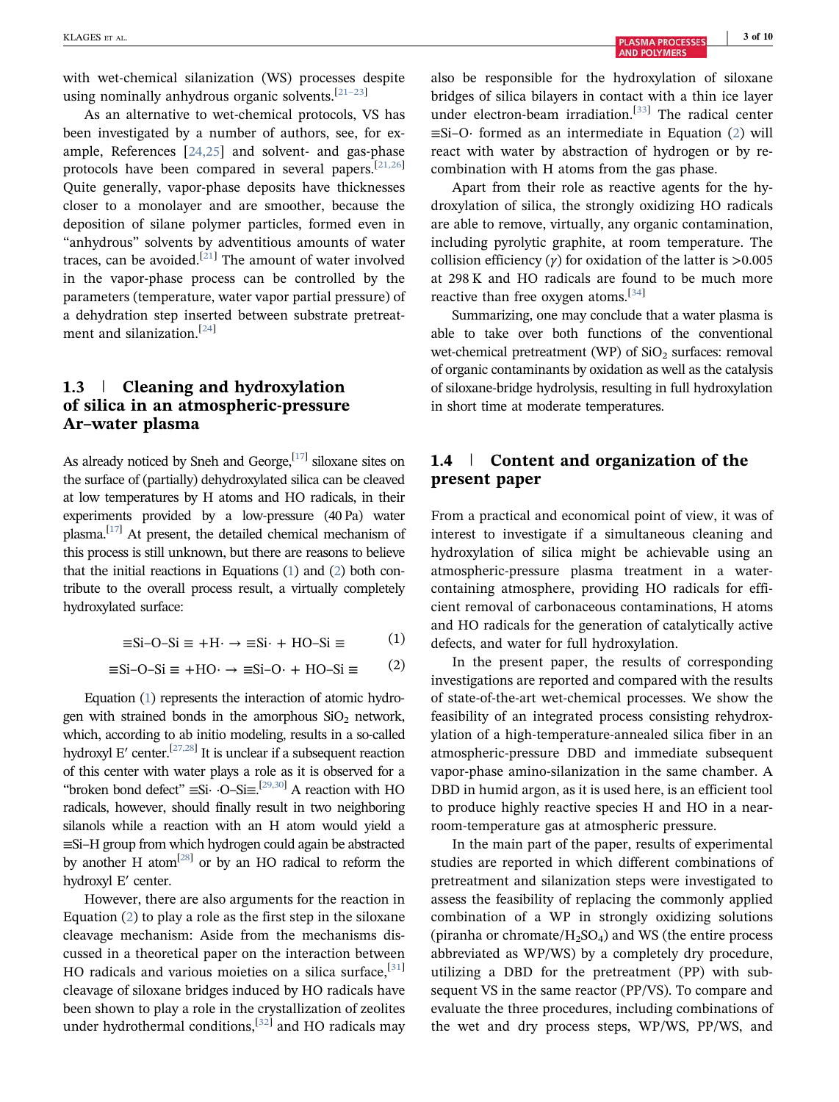with wet-chemical silanization (WS) processes despite using nominally anhydrous organic solvents.[21–23]

As an alternative to wet-chemical protocols, VS has been investigated by a number of authors, see, for example, References [24,25] and solvent‐ and gas‐phase protocols have been compared in several papers.[21,26] Quite generally, vapor‐phase deposits have thicknesses closer to a monolayer and are smoother, because the deposition of silane polymer particles, formed even in "anhydrous" solvents by adventitious amounts of water traces, can be avoided. $^{[21]}$  The amount of water involved in the vapor‐phase process can be controlled by the parameters (temperature, water vapor partial pressure) of a dehydration step inserted between substrate pretreatment and silanization.[24]

# 1.3 | Cleaning and hydroxylation of silica in an atmospheric‐pressure Ar–water plasma

As already noticed by Sneh and George,<sup>[17]</sup> siloxane sites on the surface of (partially) dehydroxylated silica can be cleaved at low temperatures by H atoms and HO radicals, in their experiments provided by a low-pressure (40 Pa) water plasma.<sup>[17]</sup> At present, the detailed chemical mechanism of this process is still unknown, but there are reasons to believe that the initial reactions in Equations (1) and (2) both contribute to the overall process result, a virtually completely hydroxylated surface:

$$
\equiv \text{Si-O-Si} \equiv +\text{H} \cdot \rightarrow \equiv \text{Si} \cdot + \text{HO-Si} \equiv (1)
$$

$$
\equiv \text{Si-O-Si} \equiv +\text{HO} \cdot \rightarrow \equiv \text{Si-O} \cdot + \text{HO-Si} \equiv (2)
$$

Equation (1) represents the interaction of atomic hydrogen with strained bonds in the amorphous  $SiO<sub>2</sub>$  network, which, according to ab initio modeling, results in a so-called hydroxyl E' center.<sup>[27,28]</sup> It is unclear if a subsequent reaction of this center with water plays a role as it is observed for a "broken bond defect"  $\equiv$ Si·  $\cdot$ O–Si $\equiv$ .<sup>[29,30]</sup> A reaction with HO radicals, however, should finally result in two neighboring silanols while a reaction with an H atom would yield a ≡Si–H group from which hydrogen could again be abstracted by another H atom<sup>[28]</sup> or by an HO radical to reform the hydroxyl E′ center.

However, there are also arguments for the reaction in Equation (2) to play a role as the first step in the siloxane cleavage mechanism: Aside from the mechanisms discussed in a theoretical paper on the interaction between HO radicals and various moieties on a silica surface,  $[31]$ cleavage of siloxane bridges induced by HO radicals have been shown to play a role in the crystallization of zeolites under hydrothermal conditions,<sup>[32]</sup> and HO radicals may

also be responsible for the hydroxylation of siloxane bridges of silica bilayers in contact with a thin ice layer under electron-beam irradiation.<sup>[33]</sup> The radical center ≡Si–O· formed as an intermediate in Equation (2) will react with water by abstraction of hydrogen or by recombination with H atoms from the gas phase.

Apart from their role as reactive agents for the hydroxylation of silica, the strongly oxidizing HO radicals are able to remove, virtually, any organic contamination, including pyrolytic graphite, at room temperature. The collision efficiency  $(y)$  for oxidation of the latter is  $>0.005$ at 298 K and HO radicals are found to be much more reactive than free oxygen atoms.[34]

Summarizing, one may conclude that a water plasma is able to take over both functions of the conventional wet-chemical pretreatment (WP) of  $SiO<sub>2</sub>$  surfaces: removal of organic contaminants by oxidation as well as the catalysis of siloxane‐bridge hydrolysis, resulting in full hydroxylation in short time at moderate temperatures.

# 1.4 | Content and organization of the present paper

From a practical and economical point of view, it was of interest to investigate if a simultaneous cleaning and hydroxylation of silica might be achievable using an atmospheric‐pressure plasma treatment in a water‐ containing atmosphere, providing HO radicals for efficient removal of carbonaceous contaminations, H atoms and HO radicals for the generation of catalytically active defects, and water for full hydroxylation.

In the present paper, the results of corresponding investigations are reported and compared with the results of state‐of‐the‐art wet‐chemical processes. We show the feasibility of an integrated process consisting rehydroxylation of a high‐temperature‐annealed silica fiber in an atmospheric‐pressure DBD and immediate subsequent vapor‐phase amino‐silanization in the same chamber. A DBD in humid argon, as it is used here, is an efficient tool to produce highly reactive species H and HO in a near‐ room‐temperature gas at atmospheric pressure.

In the main part of the paper, results of experimental studies are reported in which different combinations of pretreatment and silanization steps were investigated to assess the feasibility of replacing the commonly applied combination of a WP in strongly oxidizing solutions (piranha or chromate/ $H_2SO_4$ ) and WS (the entire process abbreviated as WP/WS) by a completely dry procedure, utilizing a DBD for the pretreatment (PP) with subsequent VS in the same reactor (PP/VS). To compare and evaluate the three procedures, including combinations of the wet and dry process steps, WP/WS, PP/WS, and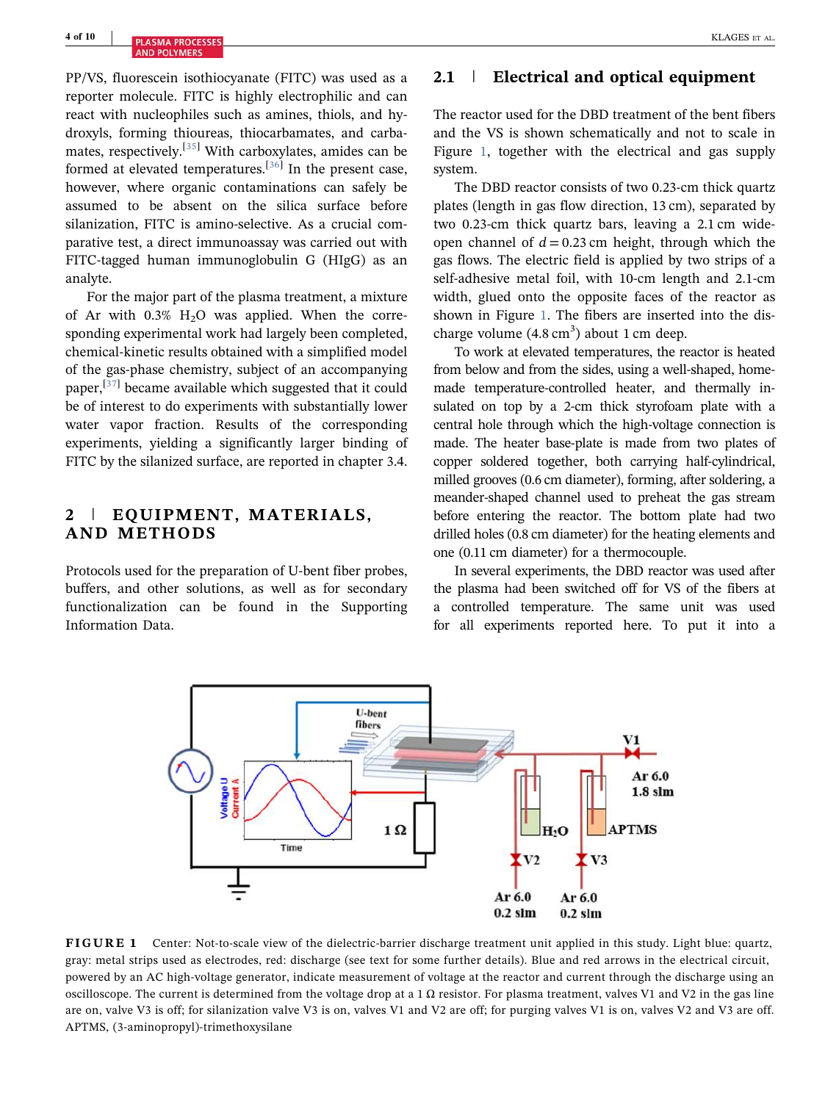PP/VS, fluorescein isothiocyanate (FITC) was used as a reporter molecule. FITC is highly electrophilic and can react with nucleophiles such as amines, thiols, and hydroxyls, forming thioureas, thiocarbamates, and carbamates, respectively.[35] With carboxylates, amides can be formed at elevated temperatures.<sup>[36]</sup> In the present case, however, where organic contaminations can safely be assumed to be absent on the silica surface before silanization, FITC is amino‐selective. As a crucial comparative test, a direct immunoassay was carried out with FITC‐tagged human immunoglobulin G (HIgG) as an analyte.

For the major part of the plasma treatment, a mixture of Ar with  $0.3\%$  H<sub>2</sub>O was applied. When the corresponding experimental work had largely been completed, chemical‐kinetic results obtained with a simplified model of the gas‐phase chemistry, subject of an accompanying paper,<sup>[37]</sup> became available which suggested that it could be of interest to do experiments with substantially lower water vapor fraction. Results of the corresponding experiments, yielding a significantly larger binding of FITC by the silanized surface, are reported in chapter 3.4.

### 2 | EQUIPMENT, MATERIALS, AND METHODS

Protocols used for the preparation of U‐bent fiber probes, buffers, and other solutions, as well as for secondary functionalization can be found in the Supporting Information Data.

# 2.1 | Electrical and optical equipment

The reactor used for the DBD treatment of the bent fibers and the VS is shown schematically and not to scale in Figure 1, together with the electrical and gas supply system.

The DBD reactor consists of two 0.23-cm thick quartz plates (length in gas flow direction, 13 cm), separated by two 0.23-cm thick quartz bars, leaving a 2.1 cm wideopen channel of  $d = 0.23$  cm height, through which the gas flows. The electric field is applied by two strips of a self-adhesive metal foil, with 10-cm length and 2.1-cm width, glued onto the opposite faces of the reactor as shown in Figure 1. The fibers are inserted into the discharge volume  $(4.8 \text{ cm}^3)$  about 1 cm deep.

To work at elevated temperatures, the reactor is heated from below and from the sides, using a well-shaped, homemade temperature-controlled heater, and thermally insulated on top by a 2-cm thick styrofoam plate with a central hole through which the high‐voltage connection is made. The heater base-plate is made from two plates of copper soldered together, both carrying half‐cylindrical, milled grooves (0.6 cm diameter), forming, after soldering, a meander‐shaped channel used to preheat the gas stream before entering the reactor. The bottom plate had two drilled holes (0.8 cm diameter) for the heating elements and one (0.11 cm diameter) for a thermocouple.

In several experiments, the DBD reactor was used after the plasma had been switched off for VS of the fibers at a controlled temperature. The same unit was used for all experiments reported here. To put it into a



FIGURE 1 Center: Not-to-scale view of the dielectric-barrier discharge treatment unit applied in this study. Light blue: quartz, gray: metal strips used as electrodes, red: discharge (see text for some further details). Blue and red arrows in the electrical circuit, powered by an AC high-voltage generator, indicate measurement of voltage at the reactor and current through the discharge using an oscilloscope. The current is determined from the voltage drop at a 1  $\Omega$  resistor. For plasma treatment, valves V1 and V2 in the gas line are on, valve V3 is off; for silanization valve V3 is on, valves V1 and V2 are off; for purging valves V1 is on, valves V2 and V3 are off. APTMS, (3‐aminopropyl)‐trimethoxysilane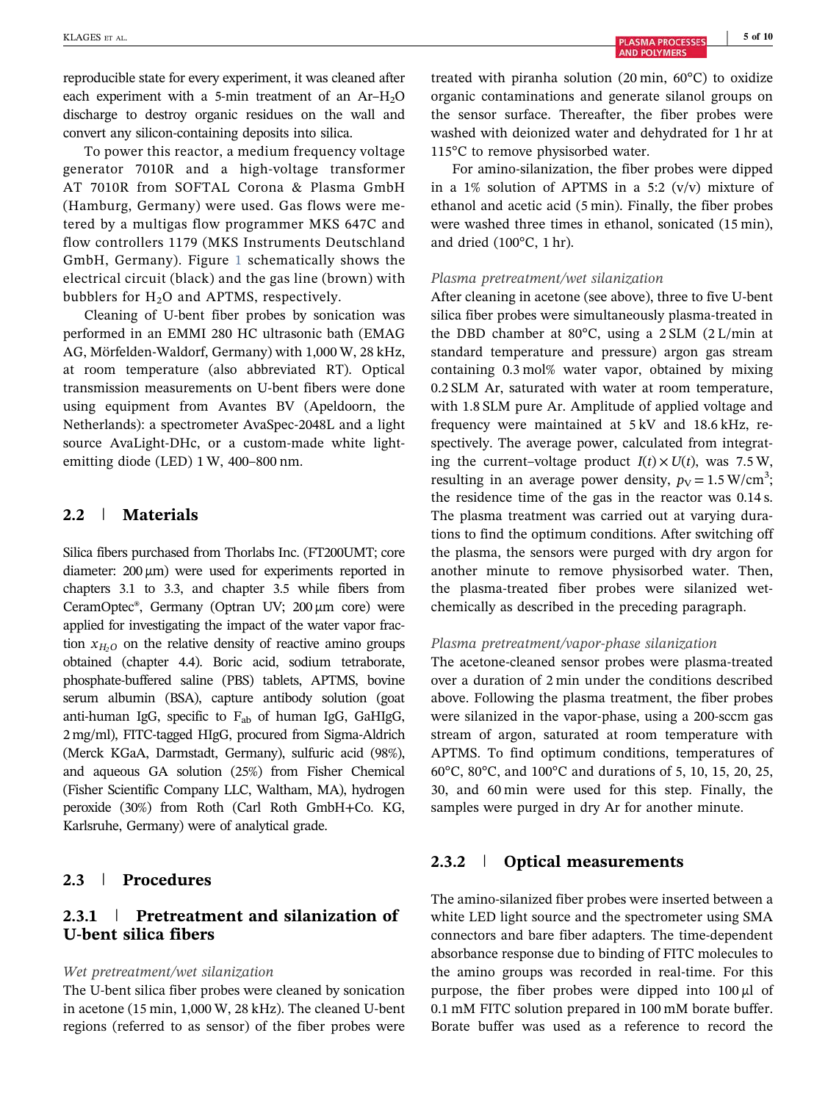reproducible state for every experiment, it was cleaned after each experiment with a 5-min treatment of an  $Ar-H<sub>2</sub>O$ discharge to destroy organic residues on the wall and convert any silicon‐containing deposits into silica.

To power this reactor, a medium frequency voltage generator 7010R and a high‐voltage transformer AT 7010R from SOFTAL Corona & Plasma GmbH (Hamburg, Germany) were used. Gas flows were metered by a multigas flow programmer MKS 647C and flow controllers 1179 (MKS Instruments Deutschland GmbH, Germany). Figure 1 schematically shows the electrical circuit (black) and the gas line (brown) with bubblers for  $H<sub>2</sub>O$  and APTMS, respectively.

Cleaning of U‐bent fiber probes by sonication was performed in an EMMI 280 HC ultrasonic bath (EMAG AG, Mörfelden‐Waldorf, Germany) with 1,000 W, 28 kHz, at room temperature (also abbreviated RT). Optical transmission measurements on U‐bent fibers were done using equipment from Avantes BV (Apeldoorn, the Netherlands): a spectrometer AvaSpec‐2048L and a light source AvaLight-DHc, or a custom-made white lightemitting diode (LED) 1 W, 400–800 nm.

# 2.2 | Materials

Silica fibers purchased from Thorlabs Inc. (FT200UMT; core diameter:  $200 \mu m$ ) were used for experiments reported in chapters 3.1 to 3.3, and chapter 3.5 while fibers from CeramOptec®, Germany (Optran UV; 200 µm core) were applied for investigating the impact of the water vapor fraction  $x_{H_2O}$  on the relative density of reactive amino groups obtained (chapter 4.4). Boric acid, sodium tetraborate, phosphate‐buffered saline (PBS) tablets, APTMS, bovine serum albumin (BSA), capture antibody solution (goat anti-human IgG, specific to  $F_{ab}$  of human IgG, GaHIgG, 2 mg/ml), FITC‐tagged HIgG, procured from Sigma‐Aldrich (Merck KGaA, Darmstadt, Germany), sulfuric acid (98%), and aqueous GA solution (25%) from Fisher Chemical (Fisher Scientific Company LLC, Waltham, MA), hydrogen peroxide (30%) from Roth (Carl Roth GmbH+Co. KG, Karlsruhe, Germany) were of analytical grade.

### 2.3 | Procedures

# 2.3.1 | Pretreatment and silanization of U‐bent silica fibers

#### Wet pretreatment/wet silanization

The U-bent silica fiber probes were cleaned by sonication in acetone (15 min, 1,000 W, 28 kHz). The cleaned U‐bent regions (referred to as sensor) of the fiber probes were treated with piranha solution (20 min, 60°C) to oxidize organic contaminations and generate silanol groups on the sensor surface. Thereafter, the fiber probes were washed with deionized water and dehydrated for 1 hr at 115°C to remove physisorbed water.

For amino‐silanization, the fiber probes were dipped in a 1% solution of APTMS in a 5:2 (v/v) mixture of ethanol and acetic acid (5 min). Finally, the fiber probes were washed three times in ethanol, sonicated (15 min), and dried (100°C, 1 hr).

#### Plasma pretreatment/wet silanization

After cleaning in acetone (see above), three to five U‐bent silica fiber probes were simultaneously plasma‐treated in the DBD chamber at 80°C, using a 2 SLM (2 L/min at standard temperature and pressure) argon gas stream containing 0.3 mol% water vapor, obtained by mixing 0.2 SLM Ar, saturated with water at room temperature, with 1.8 SLM pure Ar. Amplitude of applied voltage and frequency were maintained at 5 kV and 18.6 kHz, respectively. The average power, calculated from integrating the current–voltage product  $I(t) \times U(t)$ , was 7.5 W, resulting in an average power density,  $p_V = 1.5$  W/cm<sup>3</sup>; the residence time of the gas in the reactor was 0.14 s. The plasma treatment was carried out at varying durations to find the optimum conditions. After switching off the plasma, the sensors were purged with dry argon for another minute to remove physisorbed water. Then, the plasma‐treated fiber probes were silanized wet‐ chemically as described in the preceding paragraph.

#### Plasma pretreatment/vapor‐phase silanization

The acetone-cleaned sensor probes were plasma-treated over a duration of 2 min under the conditions described above. Following the plasma treatment, the fiber probes were silanized in the vapor‐phase, using a 200‐sccm gas stream of argon, saturated at room temperature with APTMS. To find optimum conditions, temperatures of 60°C, 80°C, and 100°C and durations of 5, 10, 15, 20, 25, 30, and 60 min were used for this step. Finally, the samples were purged in dry Ar for another minute.

### 2.3.2 | Optical measurements

The amino‐silanized fiber probes were inserted between a white LED light source and the spectrometer using SMA connectors and bare fiber adapters. The time‐dependent absorbance response due to binding of FITC molecules to the amino groups was recorded in real‐time. For this purpose, the fiber probes were dipped into  $100 \mu l$  of 0.1 mM FITC solution prepared in 100 mM borate buffer. Borate buffer was used as a reference to record the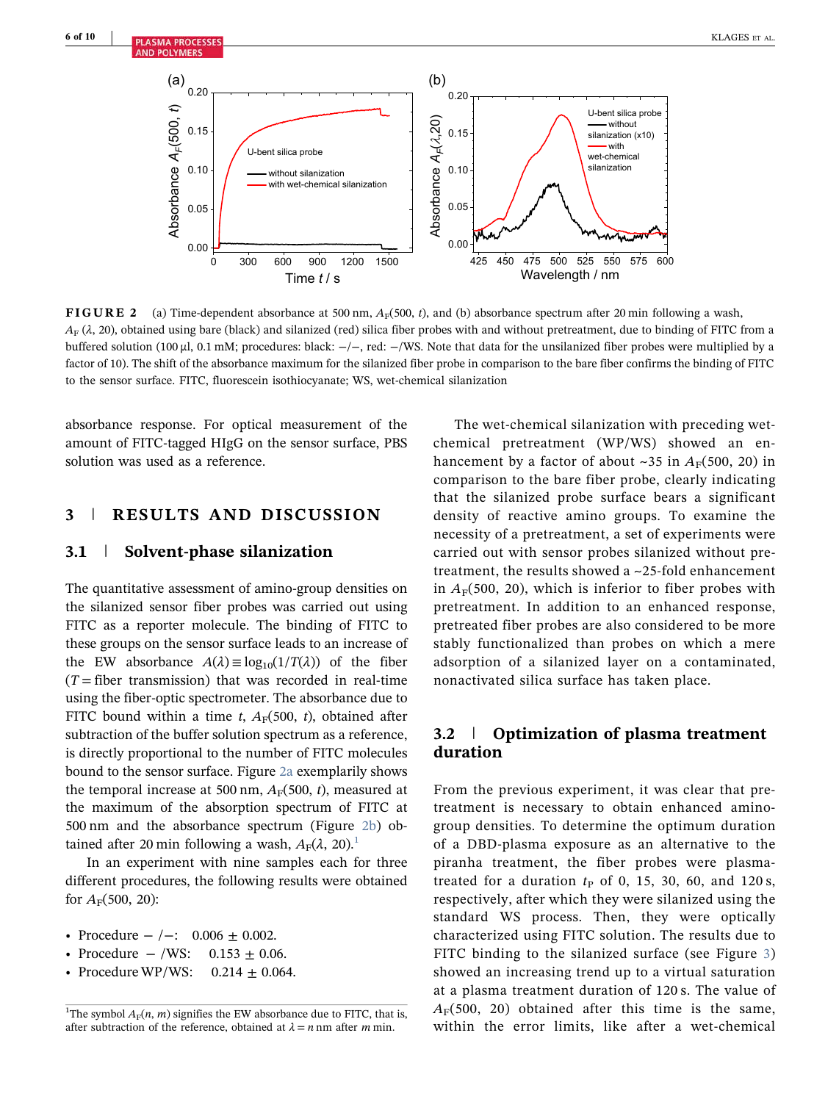

FIGURE 2 (a) Time-dependent absorbance at 500 nm,  $A_F(500, t)$ , and (b) absorbance spectrum after 20 min following a wash,  $A_F$  ( $\lambda$ , 20), obtained using bare (black) and silanized (red) silica fiber probes with and without pretreatment, due to binding of FITC from a buffered solution (100 µl, 0.1 mM; procedures: black: −/−, red: −/WS. Note that data for the unsilanized fiber probes were multiplied by a factor of 10). The shift of the absorbance maximum for the silanized fiber probe in comparison to the bare fiber confirms the binding of FITC to the sensor surface. FITC, fluorescein isothiocyanate; WS, wet‐chemical silanization

absorbance response. For optical measurement of the amount of FITC‐tagged HIgG on the sensor surface, PBS solution was used as a reference.

### 3 | RESULTS AND DISCUSSION

### 3.1 | Solvent‐phase silanization

The quantitative assessment of amino‐group densities on the silanized sensor fiber probes was carried out using FITC as a reporter molecule. The binding of FITC to these groups on the sensor surface leads to an increase of the EW absorbance  $A(\lambda) \equiv \log_{10}(1/T(\lambda))$  of the fiber  $(T =$  fiber transmission) that was recorded in real-time using the fiber‐optic spectrometer. The absorbance due to FITC bound within a time t,  $A_F(500, t)$ , obtained after subtraction of the buffer solution spectrum as a reference, is directly proportional to the number of FITC molecules bound to the sensor surface. Figure 2a exemplarily shows the temporal increase at 500 nm,  $A_F(500, t)$ , measured at the maximum of the absorption spectrum of FITC at 500 nm and the absorbance spectrum (Figure 2b) obtained after 20 min following a wash,  $A_F(\lambda, 20)$ .

In an experiment with nine samples each for three different procedures, the following results were obtained for  $A_{\rm F}(500, 20)$ :

- Procedure  $-/-: 0.006 \pm 0.002$ .
- Procedure  $-$  /WS: 0.153  $\pm$  0.06.
- Procedure WP/WS:  $0.214 \pm 0.064$ .

The wet-chemical silanization with preceding wetchemical pretreatment (WP/WS) showed an enhancement by a factor of about ~35 in  $A_F(500, 20)$  in comparison to the bare fiber probe, clearly indicating that the silanized probe surface bears a significant density of reactive amino groups. To examine the necessity of a pretreatment, a set of experiments were carried out with sensor probes silanized without pretreatment, the results showed a ~25‐fold enhancement in  $A_F(500, 20)$ , which is inferior to fiber probes with pretreatment. In addition to an enhanced response, pretreated fiber probes are also considered to be more stably functionalized than probes on which a mere adsorption of a silanized layer on a contaminated, nonactivated silica surface has taken place.

# 3.2 | Optimization of plasma treatment duration

From the previous experiment, it was clear that pretreatment is necessary to obtain enhanced amino‐ group densities. To determine the optimum duration of a DBD‐plasma exposure as an alternative to the piranha treatment, the fiber probes were plasma‐ treated for a duration  $t_P$  of 0, 15, 30, 60, and 120 s, respectively, after which they were silanized using the standard WS process. Then, they were optically characterized using FITC solution. The results due to FITC binding to the silanized surface (see Figure 3) showed an increasing trend up to a virtual saturation at a plasma treatment duration of 120 s. The value of  $A_F(500, 20)$  obtained after this time is the same, within the error limits, like after a wet-chemical

<sup>&</sup>lt;sup>1</sup>The symbol  $A_F(n, m)$  signifies the EW absorbance due to FITC, that is, after subtraction of the reference, obtained at  $\lambda = n$  nm after m min.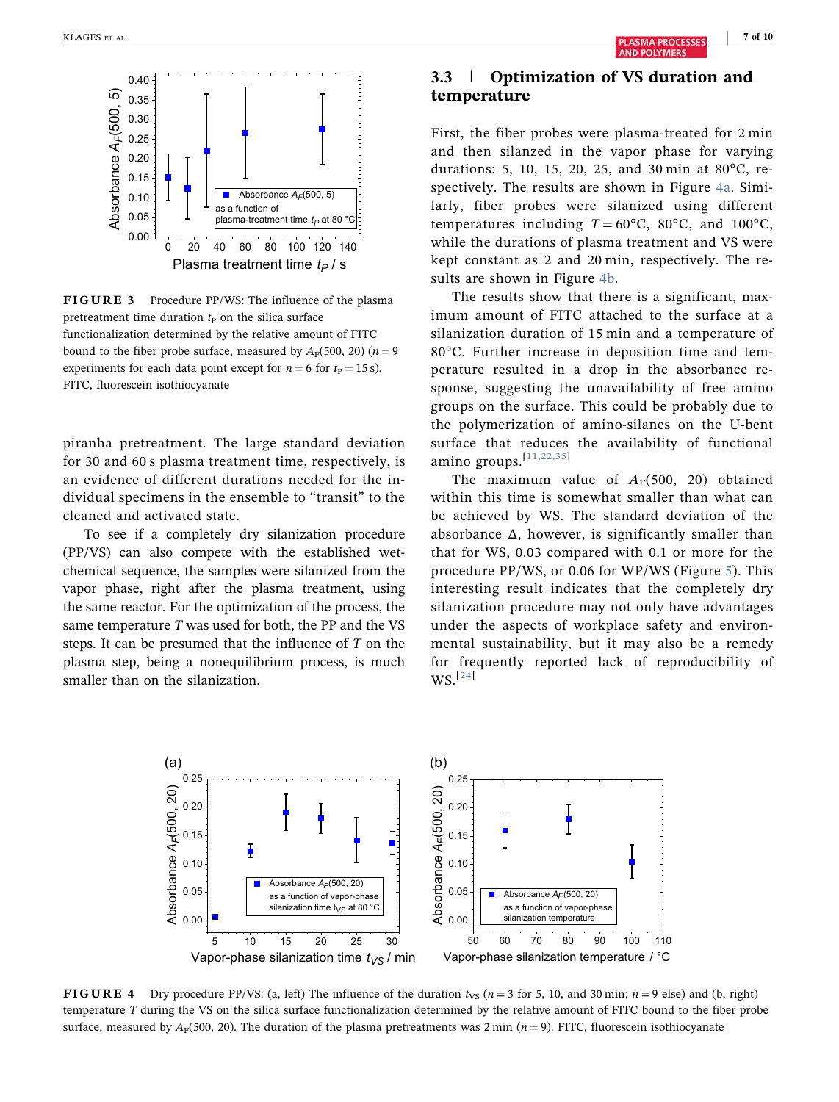

FIGURE 3 Procedure PP/WS: The influence of the plasma pretreatment time duration  $t<sub>P</sub>$  on the silica surface functionalization determined by the relative amount of FITC bound to the fiber probe surface, measured by  $A_F(500, 20)$  ( $n = 9$ ) experiments for each data point except for  $n = 6$  for  $t<sub>P</sub> = 15$  s). FITC, fluorescein isothiocyanate

piranha pretreatment. The large standard deviation for 30 and 60 s plasma treatment time, respectively, is an evidence of different durations needed for the individual specimens in the ensemble to "transit" to the cleaned and activated state.

To see if a completely dry silanization procedure (PP/VS) can also compete with the established wet‐ chemical sequence, the samples were silanized from the vapor phase, right after the plasma treatment, using the same reactor. For the optimization of the process, the same temperature  $T$  was used for both, the PP and the VS steps. It can be presumed that the influence of T on the plasma step, being a nonequilibrium process, is much smaller than on the silanization.

# 3.3 | Optimization of VS duration and temperature

First, the fiber probes were plasma‐treated for 2 min and then silanzed in the vapor phase for varying durations: 5, 10, 15, 20, 25, and 30 min at 80°C, respectively. The results are shown in Figure 4a. Similarly, fiber probes were silanized using different temperatures including  $T = 60^{\circ}$ C,  $80^{\circ}$ C, and  $100^{\circ}$ C, while the durations of plasma treatment and VS were kept constant as 2 and 20 min, respectively. The results are shown in Figure 4b.

The results show that there is a significant, maximum amount of FITC attached to the surface at a silanization duration of 15 min and a temperature of 80°C. Further increase in deposition time and temperature resulted in a drop in the absorbance response, suggesting the unavailability of free amino groups on the surface. This could be probably due to the polymerization of amino‐silanes on the U‐bent surface that reduces the availability of functional amino groups.<sup>[11,22,35]</sup>

The maximum value of  $A_F(500, 20)$  obtained within this time is somewhat smaller than what can be achieved by WS. The standard deviation of the absorbance  $\Delta$ , however, is significantly smaller than that for WS, 0.03 compared with 0.1 or more for the procedure PP/WS, or 0.06 for WP/WS (Figure 5). This interesting result indicates that the completely dry silanization procedure may not only have advantages under the aspects of workplace safety and environmental sustainability, but it may also be a remedy for frequently reported lack of reproducibility of  $WS.$ <sup>[24]</sup>



**FIGURE 4** Dry procedure PP/VS: (a, left) The influence of the duration  $t_{VS}$  ( $n = 3$  for 5, 10, and 30 min;  $n = 9$  else) and (b, right) temperature T during the VS on the silica surface functionalization determined by the relative amount of FITC bound to the fiber probe surface, measured by  $A_F(500, 20)$ . The duration of the plasma pretreatments was 2 min (n = 9). FITC, fluorescein isothiocyanate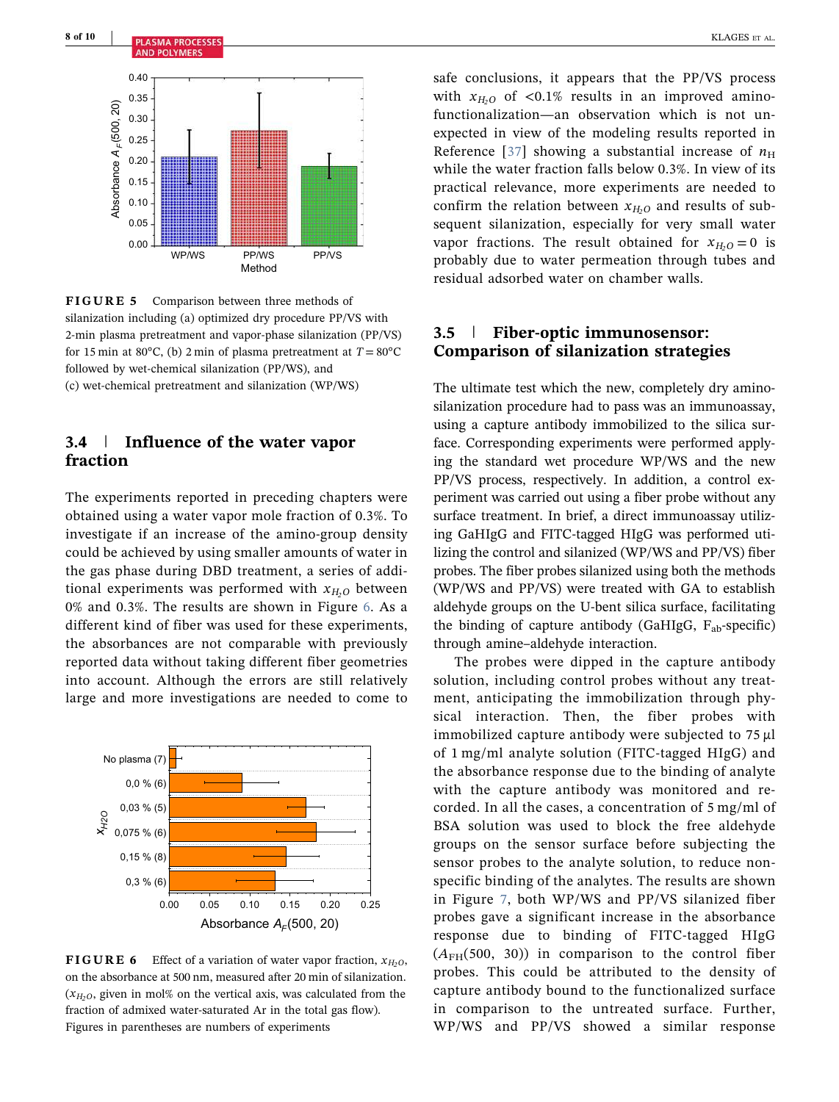

FIGURE 5 Comparison between three methods of silanization including (a) optimized dry procedure PP/VS with 2‐min plasma pretreatment and vapor‐phase silanization (PP/VS) for 15 min at 80 $^{\circ}$ C, (b) 2 min of plasma pretreatment at  $T = 80^{\circ}$ C followed by wet-chemical silanization (PP/WS), and (c) wet‐chemical pretreatment and silanization (WP/WS)

### 3.4 | Influence of the water vapor fraction

The experiments reported in preceding chapters were obtained using a water vapor mole fraction of 0.3%. To investigate if an increase of the amino‐group density could be achieved by using smaller amounts of water in the gas phase during DBD treatment, a series of additional experiments was performed with  $x_{H_2O}$  between 0% and 0.3%. The results are shown in Figure 6. As a different kind of fiber was used for these experiments, the absorbances are not comparable with previously reported data without taking different fiber geometries into account. Although the errors are still relatively large and more investigations are needed to come to



**FIGURE 6** Effect of a variation of water vapor fraction,  $x_{H_2O}$ , on the absorbance at 500 nm, measured after 20 min of silanization.  $(x<sub>H</sub>,0,$  given in mol% on the vertical axis, was calculated from the fraction of admixed water‐saturated Ar in the total gas flow). Figures in parentheses are numbers of experiments

safe conclusions, it appears that the PP/VS process with  $x_{H_2O}$  of <0.1% results in an improved aminofunctionalization—an observation which is not unexpected in view of the modeling results reported in Reference [37] showing a substantial increase of  $n_{\rm H}$ while the water fraction falls below 0.3%. In view of its practical relevance, more experiments are needed to confirm the relation between  $x_{H_2O}$  and results of subsequent silanization, especially for very small water vapor fractions. The result obtained for  $x_{H<sub>0</sub>} = 0$  is probably due to water permeation through tubes and residual adsorbed water on chamber walls.

# 3.5 | Fiber‐optic immunosensor: Comparison of silanization strategies

The ultimate test which the new, completely dry aminosilanization procedure had to pass was an immunoassay, using a capture antibody immobilized to the silica surface. Corresponding experiments were performed applying the standard wet procedure WP/WS and the new PP/VS process, respectively. In addition, a control experiment was carried out using a fiber probe without any surface treatment. In brief, a direct immunoassay utilizing GaHIgG and FITC‐tagged HIgG was performed utilizing the control and silanized (WP/WS and PP/VS) fiber probes. The fiber probes silanized using both the methods (WP/WS and PP/VS) were treated with GA to establish aldehyde groups on the U‐bent silica surface, facilitating the binding of capture antibody (GaHIgG,  $F_{ab}$ -specific) through amine–aldehyde interaction.

The probes were dipped in the capture antibody solution, including control probes without any treatment, anticipating the immobilization through physical interaction. Then, the fiber probes with immobilized capture antibody were subjected to  $75 \mu$ l of 1 mg/ml analyte solution (FITC‐tagged HIgG) and the absorbance response due to the binding of analyte with the capture antibody was monitored and recorded. In all the cases, a concentration of 5 mg/ml of BSA solution was used to block the free aldehyde groups on the sensor surface before subjecting the sensor probes to the analyte solution, to reduce nonspecific binding of the analytes. The results are shown in Figure 7, both WP/WS and PP/VS silanized fiber probes gave a significant increase in the absorbance response due to binding of FITC‐tagged HIgG  $(A<sub>FH</sub>(500, 30))$  in comparison to the control fiber probes. This could be attributed to the density of capture antibody bound to the functionalized surface in comparison to the untreated surface. Further, WP/WS and PP/VS showed a similar response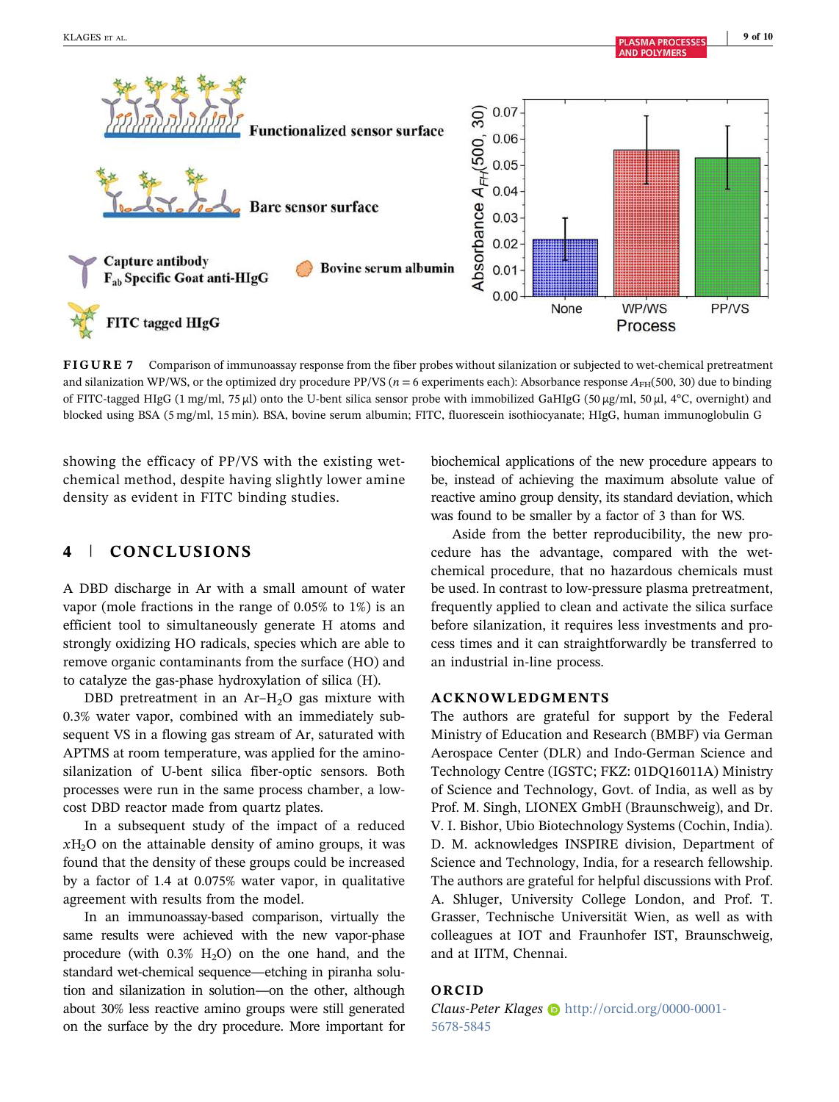**AND POLYMERS** 



FIGURE 7 Comparison of immunoassay response from the fiber probes without silanization or subjected to wet-chemical pretreatment and silanization WP/WS, or the optimized dry procedure PP/VS ( $n = 6$  experiments each): Absorbance response  $A_{FH}$ (500, 30) due to binding of FITC-tagged HIgG (1 mg/ml, 75 µl) onto the U-bent silica sensor probe with immobilized GaHIgG (50 µg/ml, 50 µl, 4°C, overnight) and blocked using BSA (5 mg/ml, 15 min). BSA, bovine serum albumin; FITC, fluorescein isothiocyanate; HIgG, human immunoglobulin G

showing the efficacy of PP/VS with the existing wet‐ chemical method, despite having slightly lower amine density as evident in FITC binding studies.

# 4 | CONCLUSIONS

A DBD discharge in Ar with a small amount of water vapor (mole fractions in the range of 0.05% to 1%) is an efficient tool to simultaneously generate H atoms and strongly oxidizing HO radicals, species which are able to remove organic contaminants from the surface (HO) and to catalyze the gas‐phase hydroxylation of silica (H).

DBD pretreatment in an  $Ar-H<sub>2</sub>O$  gas mixture with 0.3% water vapor, combined with an immediately subsequent VS in a flowing gas stream of Ar, saturated with APTMS at room temperature, was applied for the amino‐ silanization of U-bent silica fiber-optic sensors. Both processes were run in the same process chamber, a low‐ cost DBD reactor made from quartz plates.

In a subsequent study of the impact of a reduced  $xH_2O$  on the attainable density of amino groups, it was found that the density of these groups could be increased by a factor of 1.4 at 0.075% water vapor, in qualitative agreement with results from the model.

In an immunoassay‐based comparison, virtually the same results were achieved with the new vapor-phase procedure (with  $0.3\%$  H<sub>2</sub>O) on the one hand, and the standard wet-chemical sequence—etching in piranha solution and silanization in solution—on the other, although about 30% less reactive amino groups were still generated on the surface by the dry procedure. More important for biochemical applications of the new procedure appears to be, instead of achieving the maximum absolute value of reactive amino group density, its standard deviation, which was found to be smaller by a factor of 3 than for WS.

Aside from the better reproducibility, the new procedure has the advantage, compared with the wetchemical procedure, that no hazardous chemicals must be used. In contrast to low‐pressure plasma pretreatment, frequently applied to clean and activate the silica surface before silanization, it requires less investments and process times and it can straightforwardly be transferred to an industrial in‐line process.

### ACKNOWLEDGMENTS

The authors are grateful for support by the Federal Ministry of Education and Research (BMBF) via German Aerospace Center (DLR) and Indo‐German Science and Technology Centre (IGSTC; FKZ: 01DQ16011A) Ministry of Science and Technology, Govt. of India, as well as by Prof. M. Singh, LIONEX GmbH (Braunschweig), and Dr. V. I. Bishor, Ubio Biotechnology Systems (Cochin, India). D. M. acknowledges INSPIRE division, Department of Science and Technology, India, for a research fellowship. The authors are grateful for helpful discussions with Prof. A. Shluger, University College London, and Prof. T. Grasser, Technische Universität Wien, as well as with colleagues at IOT and Fraunhofer IST, Braunschweig, and at IITM, Chennai.

### ORCID

Claus-Peter Klages in http://orcid.org/0000-0001-5678-5845